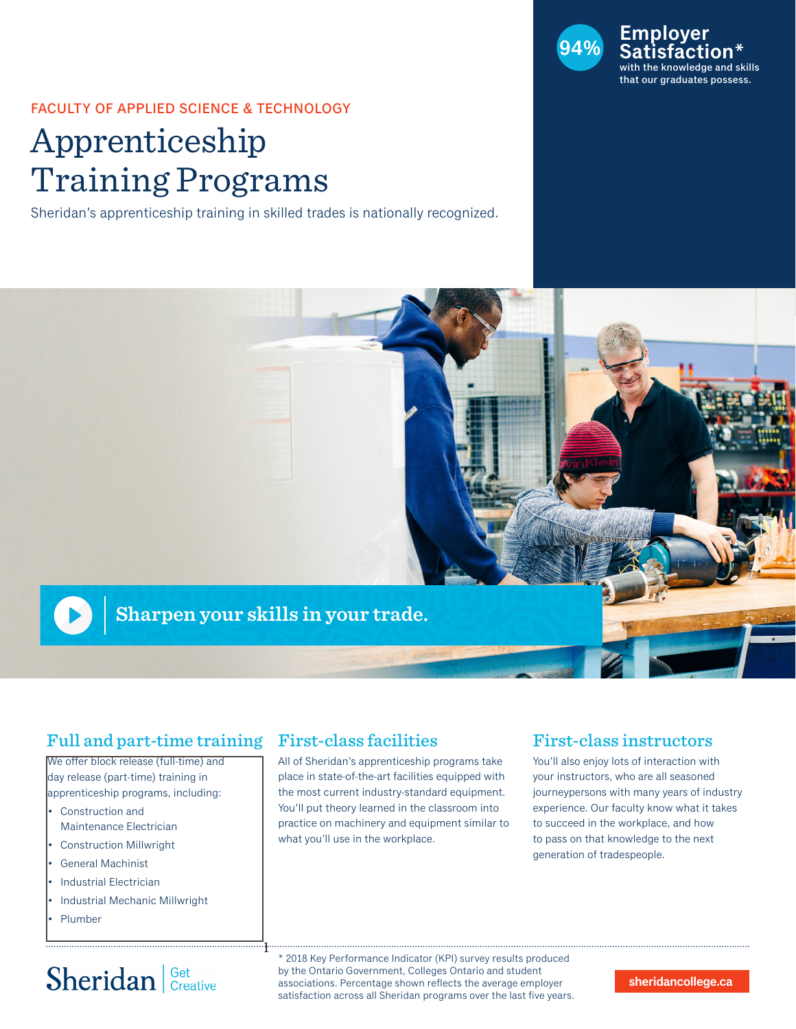

#### FACULTY OF APPLIED SCIENCE & TECHNOLOGY

# Apprenticeship Training Programs

Sheridan's apprenticeship training in skilled trades is nationally recognized.



### Full and part-time training

We offer block release (full-time) and day release (part-time) training in apprenticeship programs, including:

- Construction and Maintenance Electrician
- Construction Millwright
- General Machinist
- Industrial Electrician
- Industrial Mechanic Millwright
- Plumber

# Sheridan | Get Creative

### First-class facilities

1

All of Sheridan's apprenticeship programs take place in state-of-the-art facilities equipped with the most current industry-standard equipment. You'll put theory learned in the classroom into practice on machinery and equipment similar to what you'll use in the workplace.

### First-class instructors

You'll also enjoy lots of interaction with your instructors, who are all seasoned journeypersons with many years of industry experience. Our faculty know what it takes to succeed in the workplace, and how to pass on that knowledge to the next generation of tradespeople.

\* 2018 Key Performance Indicator (KPI) survey results produced by the Ontario Government, Colleges Ontario and student associations. Percentage shown reflects the average employer satisfaction across all Sheridan programs over the last five years.